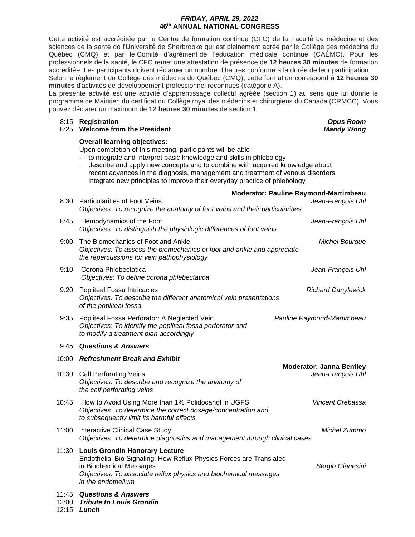### *FRIDAY, APRIL 29, 2022* **46th ANNUAL NATIONAL CONGRESS**

Cette activité́ est accréditée par le Centre de formation continue (CFC) de la Faculté́ de médecine et des sciences de la santé de l'Université́ de Sherbrooke qui est pleinement agréé par le Collège des médecins du Québec (CMQ) et par le Comité d'agrément de l'éducation médicale continue (CAÉMC). Pour les professionnels de la santé, le CFC remet une attestation de présence de **12 heures 30 minutes** de formation accréditée. Les participants doivent réclamer un nombre d'heures conforme à la durée de leur participation. Selon le règlement du Collège des médecins du Québec (CMQ), cette formation correspond à **12 heures 30** 

**minutes** d'activités de développement professionnel reconnues (catégorie A).

La présente activité́ est une activité́ d'apprentissage collectif agréée (section 1) au sens que lui donne le programme de Maintien du certificat du Collège royal des médecins et chirurgiens du Canada (CRMCC). Vous pouvez déclarer un maximum de **12 heures 30 minutes** de section 1.

#### 8:15 **Registration** *Opus Room*

#### 8:25 **Welcome from the President** *Mandy Wong*

#### **Overall learning objectives:**

Upon completion of this meeting, participants will be able

- <sup>−</sup> to integrate and interpret basic knowledge and skills in phlebology
- <sup>−</sup> describe and apply new concepts and to combine with acquired knowledge about recent advances in the diagnosis, management and treatment of venous disorders
- integrate new principles to improve their everyday practice of phlebology

|       | <b>Moderator: Pauline Raymond-Martimbeau</b>                                                                                                                                                                                      |                                                      |
|-------|-----------------------------------------------------------------------------------------------------------------------------------------------------------------------------------------------------------------------------------|------------------------------------------------------|
|       | 8:30 Particularities of Foot Veins<br>Objectives: To recognize the anatomy of foot veins and their particularities                                                                                                                | Jean-François Uhl                                    |
| 8:45  | Hemodynamics of the Foot<br>Objectives: To distinguish the physiologic differences of foot veins                                                                                                                                  | Jean-François Uhl                                    |
| 9:00  | The Biomechanics of Foot and Ankle<br>Objectives: To assess the biomechanics of foot and ankle and appreciate<br>the repercussions for vein pathophysiology                                                                       | <b>Michel Bourque</b>                                |
| 9:10  | Corona Phlebectatica<br>Objectives: To define corona phlebectatica                                                                                                                                                                | Jean-François Uhl                                    |
| 9:20  | Popliteal Fossa Intricacies<br>Objectives: To describe the different anatomical vein presentations<br>of the popliteal fossa                                                                                                      | <b>Richard Danylewick</b>                            |
|       | 9:35 Popliteal Fossa Perforator: A Neglected Vein<br>Objectives: To identify the popliteal fossa perforator and<br>to modify a treatment plan accordingly                                                                         | Pauline Raymond-Martimbeau                           |
| 9:45  | <b>Questions &amp; Answers</b>                                                                                                                                                                                                    |                                                      |
| 10:00 | <b>Refreshment Break and Exhibit</b>                                                                                                                                                                                              |                                                      |
| 10:30 | <b>Calf Perforating Veins</b><br>Objectives: To describe and recognize the anatomy of<br>the calf perforating veins                                                                                                               | <b>Moderator: Janna Bentley</b><br>Jean-François Uhl |
| 10:45 | How to Avoid Using More than 1% Polidocanol in UGFS<br>Objectives: To determine the correct dosage/concentration and<br>to subsequently limit its harmful effects                                                                 | Vincent Crebassa                                     |
| 11:00 | Interactive Clinical Case Study<br>Objectives: To determine diagnostics and management through clinical cases                                                                                                                     | Michel Zummo                                         |
| 11:30 | <b>Louis Grondin Honorary Lecture</b><br>Endothelial Bio Signaling: How Reflux Physics Forces are Translated<br>in Biochemical Messages<br>Objectives: To associate reflux physics and biochemical messages<br>in the endothelium | Sergio Gianesini                                     |
|       | 11:45 Questions & Answers                                                                                                                                                                                                         |                                                      |

- 12:00 *Tribute to Louis Grondin*
- 12:15 *Lunch*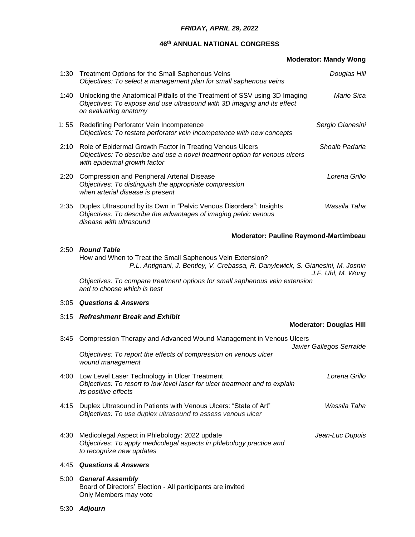### *FRIDAY, APRIL 29, 2022*

# **46th ANNUAL NATIONAL CONGRESS**

|      |                                                                                                                                                                                | <b>Moderator: Mandy Wong</b>                 |
|------|--------------------------------------------------------------------------------------------------------------------------------------------------------------------------------|----------------------------------------------|
| 1:30 | Treatment Options for the Small Saphenous Veins<br>Objectives: To select a management plan for small saphenous veins                                                           | Douglas Hill                                 |
| 1:40 | Unlocking the Anatomical Pitfalls of the Treatment of SSV using 3D Imaging<br>Objectives: To expose and use ultrasound with 3D imaging and its effect<br>on evaluating anatomy | Mario Sica                                   |
| 1:55 | Redefining Perforator Vein Incompetence<br>Objectives: To restate perforator vein incompetence with new concepts                                                               | Sergio Gianesini                             |
| 2:10 | Role of Epidermal Growth Factor in Treating Venous Ulcers<br>Objectives: To describe and use a novel treatment option for venous ulcers<br>with epidermal growth factor        | Shoaib Padaria                               |
| 2:20 | <b>Compression and Peripheral Arterial Disease</b><br>Objectives: To distinguish the appropriate compression<br>when arterial disease is present                               | Lorena Grillo                                |
| 2:35 | Duplex Ultrasound by its Own in "Pelvic Venous Disorders": Insights<br>Objectives: To describe the advantages of imaging pelvic venous<br>disease with ultrasound              | Wassila Taha                                 |
|      |                                                                                                                                                                                | <b>Moderator: Pauline Raymond-Martimbeau</b> |
| 2:50 | <b>Round Table</b><br>How and When to Treat the Small Saphenous Vein Extension?<br>P.L. Antignani, J. Bentley, V. Crebassa, R. Danylewick, S. Gianesini, M. Josnin             | J.F. Uhl, M. Wong                            |
|      | Objectives: To compare treatment options for small saphenous vein extension<br>and to choose which is best                                                                     |                                              |
| 3:05 | <b>Questions &amp; Answers</b>                                                                                                                                                 |                                              |
| 3:15 | <b>Refreshment Break and Exhibit</b>                                                                                                                                           | <b>Moderator: Douglas Hill</b>               |

|      | 3:45 Compression Therapy and Advanced Wound Management in Venous Ulcers                                                                                     |                          |
|------|-------------------------------------------------------------------------------------------------------------------------------------------------------------|--------------------------|
|      |                                                                                                                                                             | Javier Gallegos Serralde |
|      | Objectives: To report the effects of compression on venous ulcer<br>wound management                                                                        |                          |
| 4:00 | Low Level Laser Technology in Ulcer Treatment<br>Objectives: To resort to low level laser for ulcer treatment and to explain<br><i>its positive effects</i> | Lorena Grillo            |
| 4:15 | Duplex Ultrasound in Patients with Venous Ulcers: "State of Art"<br>Objectives: To use duplex ultrasound to assess venous ulcer                             | Wassila Taha             |
| 4:30 | Medicolegal Aspect in Phlebology: 2022 update<br>Objectives: To apply medicolegal aspects in phlebology practice and<br>to recognize new updates            | Jean-Luc Dupuis          |
| 4:45 | <b>Questions &amp; Answers</b>                                                                                                                              |                          |
| 5:00 | <b>General Assembly</b>                                                                                                                                     |                          |

Board of Directors' Election - All participants are invited

5:30 *Adjourn*

Only Members may vote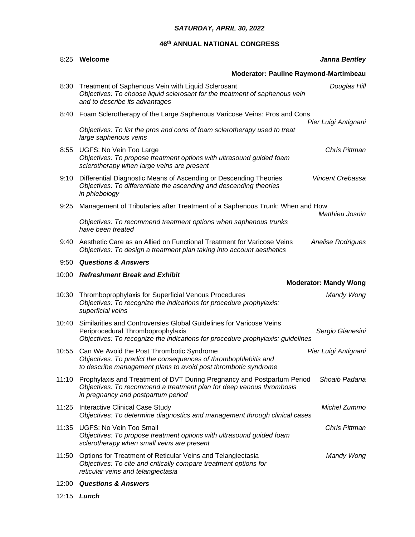# *SATURDAY, APRIL 30, 2022*

# **46th ANNUAL NATIONAL CONGRESS**

| 8:25  | Welcome<br><b>Janna Bentley</b>                                                                                                                                                            |                              |
|-------|--------------------------------------------------------------------------------------------------------------------------------------------------------------------------------------------|------------------------------|
|       | Moderator: Pauline Raymond-Martimbeau                                                                                                                                                      |                              |
| 8:30  | Treatment of Saphenous Vein with Liquid Sclerosant<br>Objectives: To choose liquid sclerosant for the treatment of saphenous vein<br>and to describe its advantages                        | Douglas Hill                 |
| 8:40  | Foam Sclerotherapy of the Large Saphenous Varicose Veins: Pros and Cons                                                                                                                    | Pier Luigi Antignani         |
|       | Objectives: To list the pros and cons of foam sclerotherapy used to treat<br>large saphenous veins                                                                                         |                              |
| 8:55  | UGFS: No Vein Too Large<br>Objectives: To propose treatment options with ultrasound guided foam<br>sclerotherapy when large veins are present                                              | Chris Pittman                |
| 9:10  | Differential Diagnostic Means of Ascending or Descending Theories<br>Objectives: To differentiate the ascending and descending theories<br>in phlebology                                   | Vincent Crebassa             |
| 9:25  | Management of Tributaries after Treatment of a Saphenous Trunk: When and How                                                                                                               | Matthieu Josnin              |
|       | Objectives: To recommend treatment options when saphenous trunks<br>have been treated                                                                                                      |                              |
| 9:40  | Aesthetic Care as an Allied on Functional Treatment for Varicose Veins<br>Objectives: To design a treatment plan taking into account aesthetics                                            | <b>Anelise Rodrigues</b>     |
| 9:50  | <b>Questions &amp; Answers</b>                                                                                                                                                             |                              |
|       | 10:00 Refreshment Break and Exhibit                                                                                                                                                        |                              |
|       |                                                                                                                                                                                            | <b>Moderator: Mandy Wong</b> |
| 10:30 | Thromboprophylaxis for Superficial Venous Procedures<br>Objectives: To recognize the indications for procedure prophylaxis:<br>superficial veins                                           | Mandy Wong                   |
| 10:40 | Similarities and Controversies Global Guidelines for Varicose Veins<br>Periprocedural Thromboprophylaxis<br>Objectives: To recognize the indications for procedure prophylaxis: guidelines | Sergio Gianesini             |
| 10:55 | Can We Avoid the Post Thrombotic Syndrome<br>Objectives: To predict the consequences of thrombophlebitis and<br>to describe management plans to avoid post thrombotic syndrome             | Pier Luigi Antignani         |
| 11:10 | Prophylaxis and Treatment of DVT During Pregnancy and Postpartum Period<br>Objectives: To recommend a treatment plan for deep venous thrombosis<br>in pregnancy and postpartum period      | Shoaib Padaria               |
| 11:25 | <b>Interactive Clinical Case Study</b><br>Objectives: To determine diagnostics and management through clinical cases                                                                       | Michel Zummo                 |
| 11:35 | <b>UGFS: No Vein Too Small</b><br>Objectives: To propose treatment options with ultrasound guided foam<br>sclerotherapy when small veins are present                                       | Chris Pittman                |
| 11:50 | Options for Treatment of Reticular Veins and Telangiectasia<br>Objectives: To cite and critically compare treatment options for<br>reticular veins and telangiectasia                      | Mandy Wong                   |
| 12:00 | <b>Questions &amp; Answers</b>                                                                                                                                                             |                              |

12:15 *Lunch*